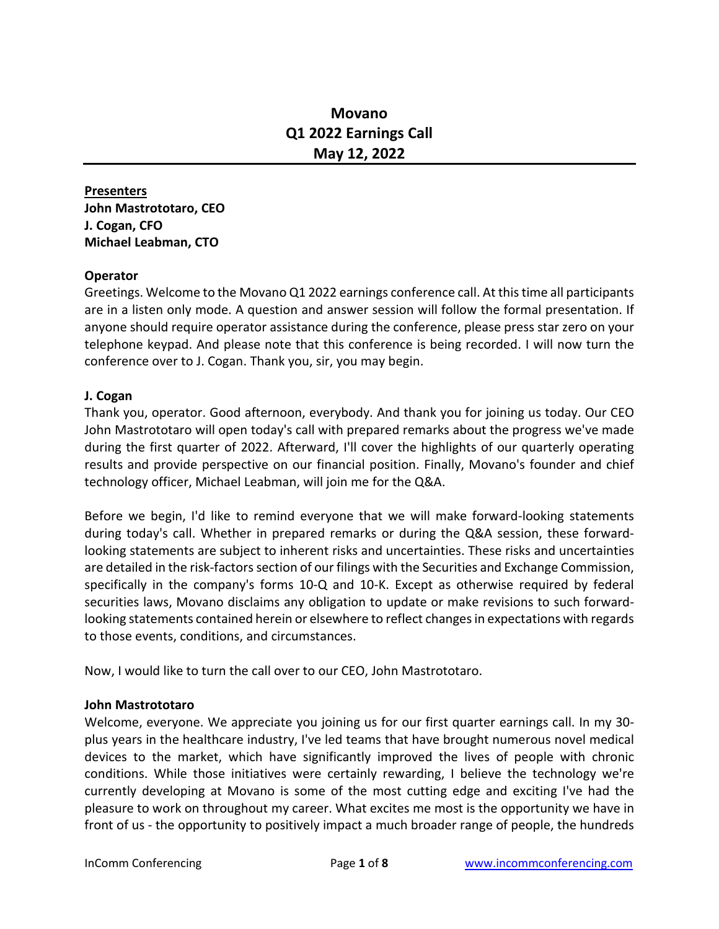# **Movano Q1 2022 Earnings Call May 12, 2022**

**Presenters John Mastrototaro, CEO J. Cogan, CFO Michael Leabman, CTO**

#### **Operator**

Greetings. Welcome to the Movano Q1 2022 earnings conference call. At thistime all participants are in a listen only mode. A question and answer session will follow the formal presentation. If anyone should require operator assistance during the conference, please press star zero on your telephone keypad. And please note that this conference is being recorded. I will now turn the conference over to J. Cogan. Thank you, sir, you may begin.

#### **J. Cogan**

Thank you, operator. Good afternoon, everybody. And thank you for joining us today. Our CEO John Mastrototaro will open today's call with prepared remarks about the progress we've made during the first quarter of 2022. Afterward, I'll cover the highlights of our quarterly operating results and provide perspective on our financial position. Finally, Movano's founder and chief technology officer, Michael Leabman, will join me for the Q&A.

Before we begin, I'd like to remind everyone that we will make forward-looking statements during today's call. Whether in prepared remarks or during the Q&A session, these forwardlooking statements are subject to inherent risks and uncertainties. These risks and uncertainties are detailed in the risk-factors section of our filings with the Securities and Exchange Commission, specifically in the company's forms 10-Q and 10-K. Except as otherwise required by federal securities laws, Movano disclaims any obligation to update or make revisions to such forwardlooking statements contained herein or elsewhere to reflect changes in expectations with regards to those events, conditions, and circumstances.

Now, I would like to turn the call over to our CEO, John Mastrototaro.

#### **John Mastrototaro**

Welcome, everyone. We appreciate you joining us for our first quarter earnings call. In my 30 plus years in the healthcare industry, I've led teams that have brought numerous novel medical devices to the market, which have significantly improved the lives of people with chronic conditions. While those initiatives were certainly rewarding, I believe the technology we're currently developing at Movano is some of the most cutting edge and exciting I've had the pleasure to work on throughout my career. What excites me most is the opportunity we have in front of us - the opportunity to positively impact a much broader range of people, the hundreds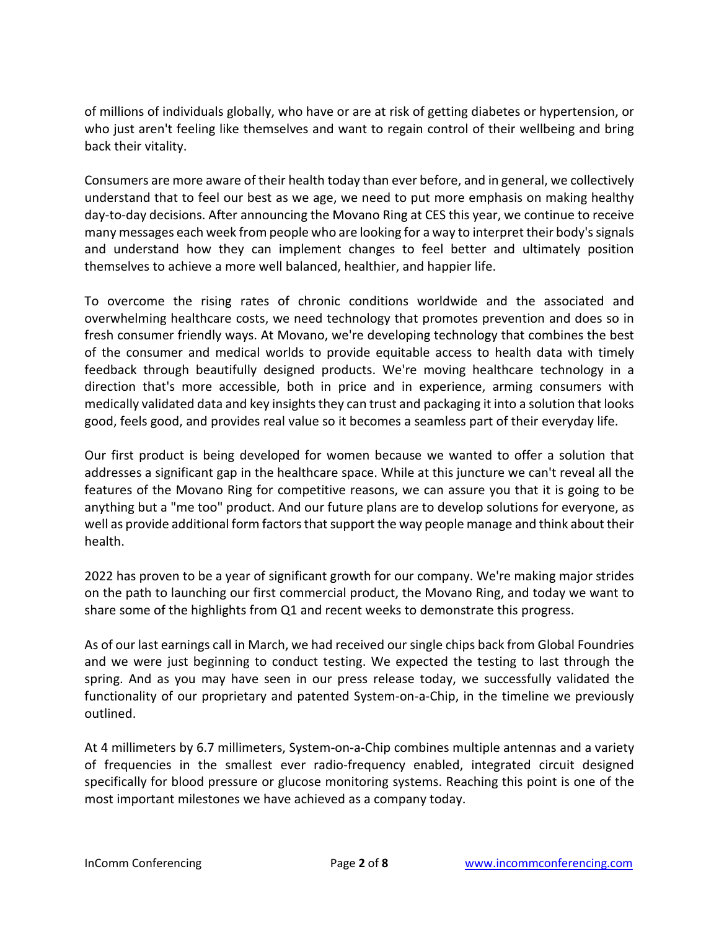of millions of individuals globally, who have or are at risk of getting diabetes or hypertension, or who just aren't feeling like themselves and want to regain control of their wellbeing and bring back their vitality.

Consumers are more aware of their health today than ever before, and in general, we collectively understand that to feel our best as we age, we need to put more emphasis on making healthy day-to-day decisions. After announcing the Movano Ring at CES this year, we continue to receive many messages each week from people who are looking for a way to interpret their body's signals and understand how they can implement changes to feel better and ultimately position themselves to achieve a more well balanced, healthier, and happier life.

To overcome the rising rates of chronic conditions worldwide and the associated and overwhelming healthcare costs, we need technology that promotes prevention and does so in fresh consumer friendly ways. At Movano, we're developing technology that combines the best of the consumer and medical worlds to provide equitable access to health data with timely feedback through beautifully designed products. We're moving healthcare technology in a direction that's more accessible, both in price and in experience, arming consumers with medically validated data and key insights they can trust and packaging it into a solution that looks good, feels good, and provides real value so it becomes a seamless part of their everyday life.

Our first product is being developed for women because we wanted to offer a solution that addresses a significant gap in the healthcare space. While at this juncture we can't reveal all the features of the Movano Ring for competitive reasons, we can assure you that it is going to be anything but a "me too" product. And our future plans are to develop solutions for everyone, as well as provide additional form factors that support the way people manage and think about their health.

2022 has proven to be a year of significant growth for our company. We're making major strides on the path to launching our first commercial product, the Movano Ring, and today we want to share some of the highlights from Q1 and recent weeks to demonstrate this progress.

As of our last earnings call in March, we had received our single chips back from Global Foundries and we were just beginning to conduct testing. We expected the testing to last through the spring. And as you may have seen in our press release today, we successfully validated the functionality of our proprietary and patented System-on-a-Chip, in the timeline we previously outlined.

At 4 millimeters by 6.7 millimeters, System-on-a-Chip combines multiple antennas and a variety of frequencies in the smallest ever radio-frequency enabled, integrated circuit designed specifically for blood pressure or glucose monitoring systems. Reaching this point is one of the most important milestones we have achieved as a company today.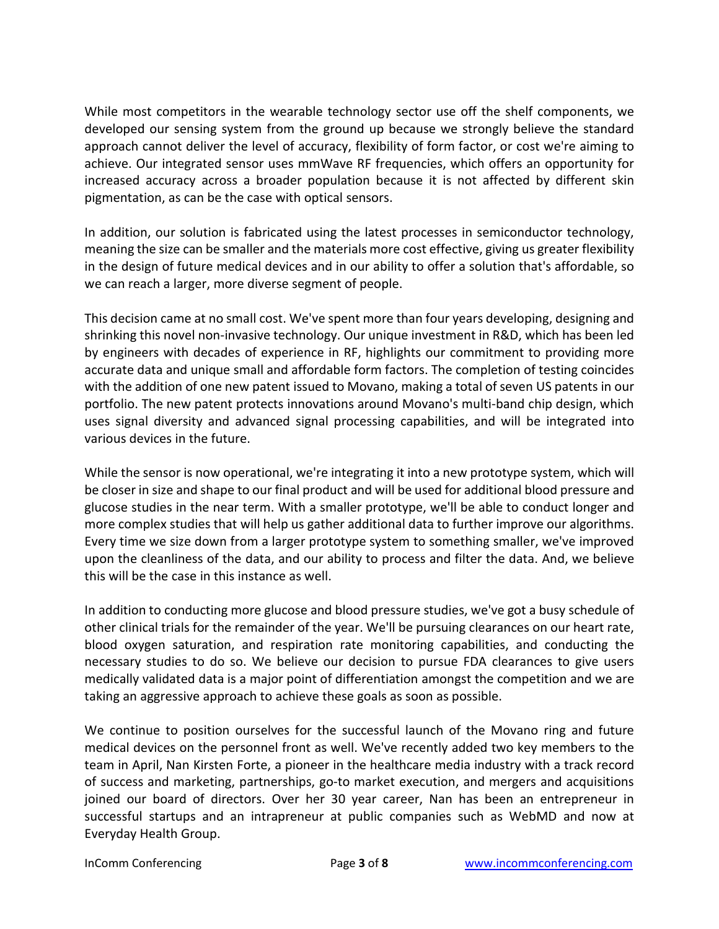While most competitors in the wearable technology sector use off the shelf components, we developed our sensing system from the ground up because we strongly believe the standard approach cannot deliver the level of accuracy, flexibility of form factor, or cost we're aiming to achieve. Our integrated sensor uses mmWave RF frequencies, which offers an opportunity for increased accuracy across a broader population because it is not affected by different skin pigmentation, as can be the case with optical sensors.

In addition, our solution is fabricated using the latest processes in semiconductor technology, meaning the size can be smaller and the materials more cost effective, giving us greater flexibility in the design of future medical devices and in our ability to offer a solution that's affordable, so we can reach a larger, more diverse segment of people.

This decision came at no small cost. We've spent more than four years developing, designing and shrinking this novel non-invasive technology. Our unique investment in R&D, which has been led by engineers with decades of experience in RF, highlights our commitment to providing more accurate data and unique small and affordable form factors. The completion of testing coincides with the addition of one new patent issued to Movano, making a total of seven US patents in our portfolio. The new patent protects innovations around Movano's multi-band chip design, which uses signal diversity and advanced signal processing capabilities, and will be integrated into various devices in the future.

While the sensor is now operational, we're integrating it into a new prototype system, which will be closer in size and shape to our final product and will be used for additional blood pressure and glucose studies in the near term. With a smaller prototype, we'll be able to conduct longer and more complex studies that will help us gather additional data to further improve our algorithms. Every time we size down from a larger prototype system to something smaller, we've improved upon the cleanliness of the data, and our ability to process and filter the data. And, we believe this will be the case in this instance as well.

In addition to conducting more glucose and blood pressure studies, we've got a busy schedule of other clinical trials for the remainder of the year. We'll be pursuing clearances on our heart rate, blood oxygen saturation, and respiration rate monitoring capabilities, and conducting the necessary studies to do so. We believe our decision to pursue FDA clearances to give users medically validated data is a major point of differentiation amongst the competition and we are taking an aggressive approach to achieve these goals as soon as possible.

We continue to position ourselves for the successful launch of the Movano ring and future medical devices on the personnel front as well. We've recently added two key members to the team in April, Nan Kirsten Forte, a pioneer in the healthcare media industry with a track record of success and marketing, partnerships, go-to market execution, and mergers and acquisitions joined our board of directors. Over her 30 year career, Nan has been an entrepreneur in successful startups and an intrapreneur at public companies such as WebMD and now at Everyday Health Group.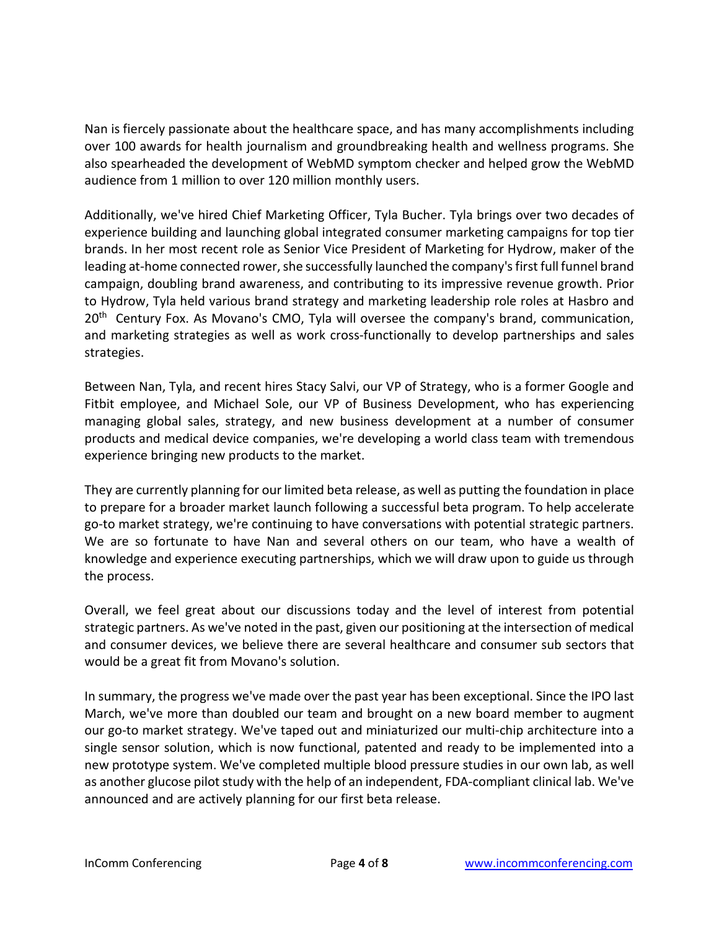Nan is fiercely passionate about the healthcare space, and has many accomplishments including over 100 awards for health journalism and groundbreaking health and wellness programs. She also spearheaded the development of WebMD symptom checker and helped grow the WebMD audience from 1 million to over 120 million monthly users.

Additionally, we've hired Chief Marketing Officer, Tyla Bucher. Tyla brings over two decades of experience building and launching global integrated consumer marketing campaigns for top tier brands. In her most recent role as Senior Vice President of Marketing for Hydrow, maker of the leading at-home connected rower, she successfully launched the company's first full funnel brand campaign, doubling brand awareness, and contributing to its impressive revenue growth. Prior to Hydrow, Tyla held various brand strategy and marketing leadership role roles at Hasbro and 20<sup>th</sup> Century Fox. As Movano's CMO, Tyla will oversee the company's brand, communication, and marketing strategies as well as work cross-functionally to develop partnerships and sales strategies.

Between Nan, Tyla, and recent hires Stacy Salvi, our VP of Strategy, who is a former Google and Fitbit employee, and Michael Sole, our VP of Business Development, who has experiencing managing global sales, strategy, and new business development at a number of consumer products and medical device companies, we're developing a world class team with tremendous experience bringing new products to the market.

They are currently planning for our limited beta release, as well as putting the foundation in place to prepare for a broader market launch following a successful beta program. To help accelerate go-to market strategy, we're continuing to have conversations with potential strategic partners. We are so fortunate to have Nan and several others on our team, who have a wealth of knowledge and experience executing partnerships, which we will draw upon to guide us through the process.

Overall, we feel great about our discussions today and the level of interest from potential strategic partners. As we've noted in the past, given our positioning at the intersection of medical and consumer devices, we believe there are several healthcare and consumer sub sectors that would be a great fit from Movano's solution.

In summary, the progress we've made over the past year has been exceptional. Since the IPO last March, we've more than doubled our team and brought on a new board member to augment our go-to market strategy. We've taped out and miniaturized our multi-chip architecture into a single sensor solution, which is now functional, patented and ready to be implemented into a new prototype system. We've completed multiple blood pressure studies in our own lab, as well as another glucose pilot study with the help of an independent, FDA-compliant clinical lab. We've announced and are actively planning for our first beta release.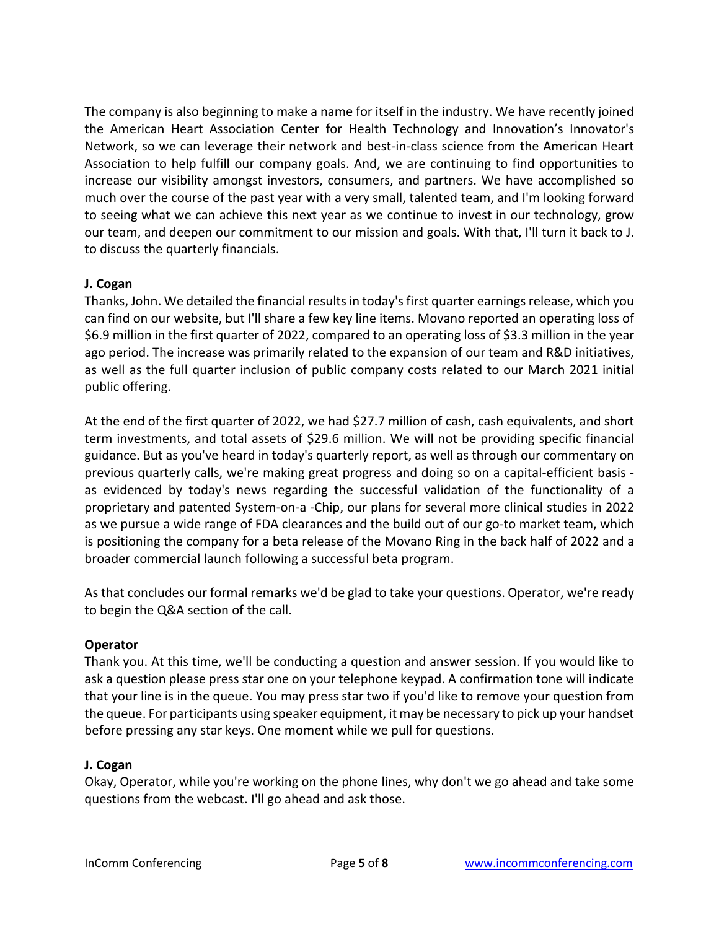The company is also beginning to make a name for itself in the industry. We have recently joined the American Heart Association Center for Health Technology and Innovation's Innovator's Network, so we can leverage their network and best-in-class science from the American Heart Association to help fulfill our company goals. And, we are continuing to find opportunities to increase our visibility amongst investors, consumers, and partners. We have accomplished so much over the course of the past year with a very small, talented team, and I'm looking forward to seeing what we can achieve this next year as we continue to invest in our technology, grow our team, and deepen our commitment to our mission and goals. With that, I'll turn it back to J. to discuss the quarterly financials.

# **J. Cogan**

Thanks, John. We detailed the financial results in today's first quarter earnings release, which you can find on our website, but I'll share a few key line items. Movano reported an operating loss of \$6.9 million in the first quarter of 2022, compared to an operating loss of \$3.3 million in the year ago period. The increase was primarily related to the expansion of our team and R&D initiatives, as well as the full quarter inclusion of public company costs related to our March 2021 initial public offering.

At the end of the first quarter of 2022, we had \$27.7 million of cash, cash equivalents, and short term investments, and total assets of \$29.6 million. We will not be providing specific financial guidance. But as you've heard in today's quarterly report, as well as through our commentary on previous quarterly calls, we're making great progress and doing so on a capital-efficient basis as evidenced by today's news regarding the successful validation of the functionality of a proprietary and patented System-on-a -Chip, our plans for several more clinical studies in 2022 as we pursue a wide range of FDA clearances and the build out of our go-to market team, which is positioning the company for a beta release of the Movano Ring in the back half of 2022 and a broader commercial launch following a successful beta program.

As that concludes our formal remarks we'd be glad to take your questions. Operator, we're ready to begin the Q&A section of the call.

# **Operator**

Thank you. At this time, we'll be conducting a question and answer session. If you would like to ask a question please press star one on your telephone keypad. A confirmation tone will indicate that your line is in the queue. You may press star two if you'd like to remove your question from the queue. For participants using speaker equipment, it may be necessary to pick up your handset before pressing any star keys. One moment while we pull for questions.

# **J. Cogan**

Okay, Operator, while you're working on the phone lines, why don't we go ahead and take some questions from the webcast. I'll go ahead and ask those.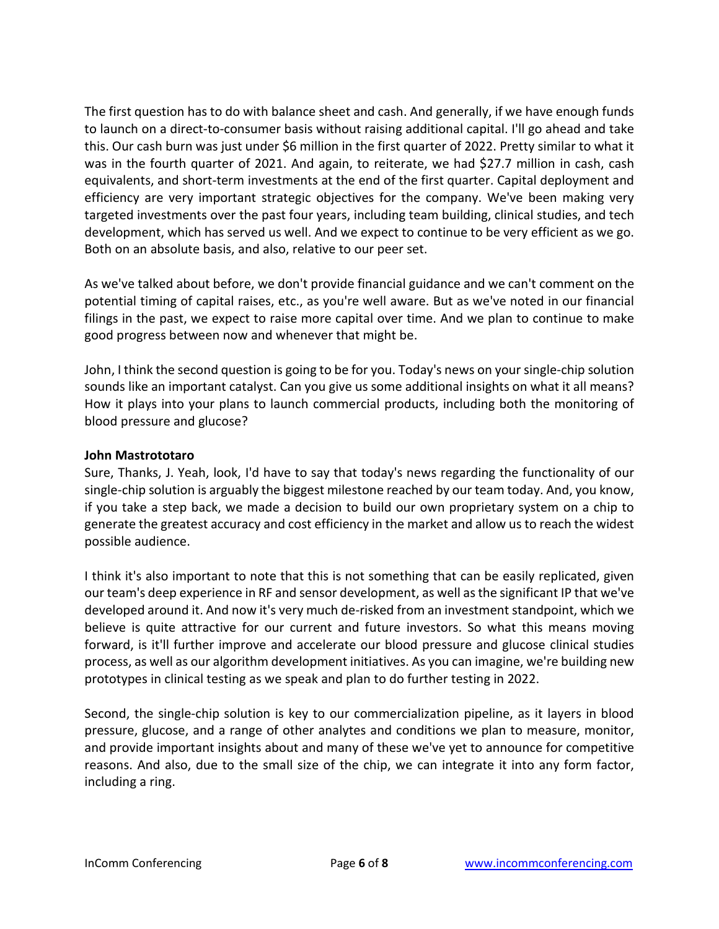The first question has to do with balance sheet and cash. And generally, if we have enough funds to launch on a direct-to-consumer basis without raising additional capital. I'll go ahead and take this. Our cash burn was just under \$6 million in the first quarter of 2022. Pretty similar to what it was in the fourth quarter of 2021. And again, to reiterate, we had \$27.7 million in cash, cash equivalents, and short-term investments at the end of the first quarter. Capital deployment and efficiency are very important strategic objectives for the company. We've been making very targeted investments over the past four years, including team building, clinical studies, and tech development, which has served us well. And we expect to continue to be very efficient as we go. Both on an absolute basis, and also, relative to our peer set.

As we've talked about before, we don't provide financial guidance and we can't comment on the potential timing of capital raises, etc., as you're well aware. But as we've noted in our financial filings in the past, we expect to raise more capital over time. And we plan to continue to make good progress between now and whenever that might be.

John, I think the second question is going to be for you. Today's news on your single-chip solution sounds like an important catalyst. Can you give us some additional insights on what it all means? How it plays into your plans to launch commercial products, including both the monitoring of blood pressure and glucose?

## **John Mastrototaro**

Sure, Thanks, J. Yeah, look, I'd have to say that today's news regarding the functionality of our single-chip solution is arguably the biggest milestone reached by our team today. And, you know, if you take a step back, we made a decision to build our own proprietary system on a chip to generate the greatest accuracy and cost efficiency in the market and allow us to reach the widest possible audience.

I think it's also important to note that this is not something that can be easily replicated, given our team's deep experience in RF and sensor development, as well asthe significant IP that we've developed around it. And now it's very much de-risked from an investment standpoint, which we believe is quite attractive for our current and future investors. So what this means moving forward, is it'll further improve and accelerate our blood pressure and glucose clinical studies process, as well as our algorithm development initiatives. As you can imagine, we're building new prototypes in clinical testing as we speak and plan to do further testing in 2022.

Second, the single-chip solution is key to our commercialization pipeline, as it layers in blood pressure, glucose, and a range of other analytes and conditions we plan to measure, monitor, and provide important insights about and many of these we've yet to announce for competitive reasons. And also, due to the small size of the chip, we can integrate it into any form factor, including a ring.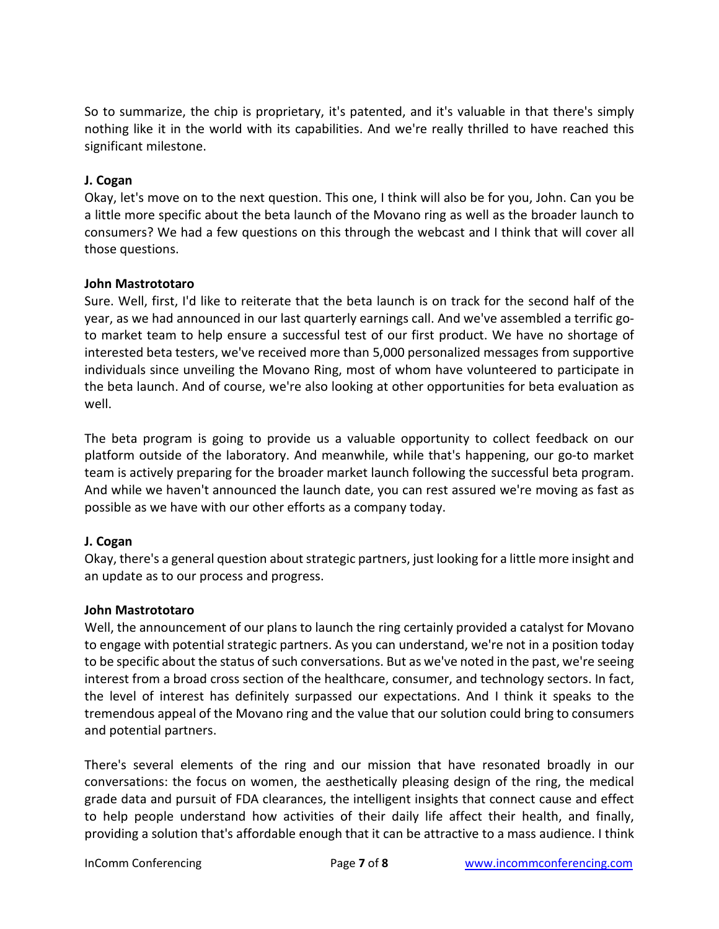So to summarize, the chip is proprietary, it's patented, and it's valuable in that there's simply nothing like it in the world with its capabilities. And we're really thrilled to have reached this significant milestone.

## **J. Cogan**

Okay, let's move on to the next question. This one, I think will also be for you, John. Can you be a little more specific about the beta launch of the Movano ring as well as the broader launch to consumers? We had a few questions on this through the webcast and I think that will cover all those questions.

## **John Mastrototaro**

Sure. Well, first, I'd like to reiterate that the beta launch is on track for the second half of the year, as we had announced in our last quarterly earnings call. And we've assembled a terrific goto market team to help ensure a successful test of our first product. We have no shortage of interested beta testers, we've received more than 5,000 personalized messages from supportive individuals since unveiling the Movano Ring, most of whom have volunteered to participate in the beta launch. And of course, we're also looking at other opportunities for beta evaluation as well.

The beta program is going to provide us a valuable opportunity to collect feedback on our platform outside of the laboratory. And meanwhile, while that's happening, our go-to market team is actively preparing for the broader market launch following the successful beta program. And while we haven't announced the launch date, you can rest assured we're moving as fast as possible as we have with our other efforts as a company today.

# **J. Cogan**

Okay, there's a general question about strategic partners, just looking for a little more insight and an update as to our process and progress.

#### **John Mastrototaro**

Well, the announcement of our plans to launch the ring certainly provided a catalyst for Movano to engage with potential strategic partners. As you can understand, we're not in a position today to be specific about the status of such conversations. But as we've noted in the past, we're seeing interest from a broad cross section of the healthcare, consumer, and technology sectors. In fact, the level of interest has definitely surpassed our expectations. And I think it speaks to the tremendous appeal of the Movano ring and the value that our solution could bring to consumers and potential partners.

There's several elements of the ring and our mission that have resonated broadly in our conversations: the focus on women, the aesthetically pleasing design of the ring, the medical grade data and pursuit of FDA clearances, the intelligent insights that connect cause and effect to help people understand how activities of their daily life affect their health, and finally, providing a solution that's affordable enough that it can be attractive to a mass audience. I think